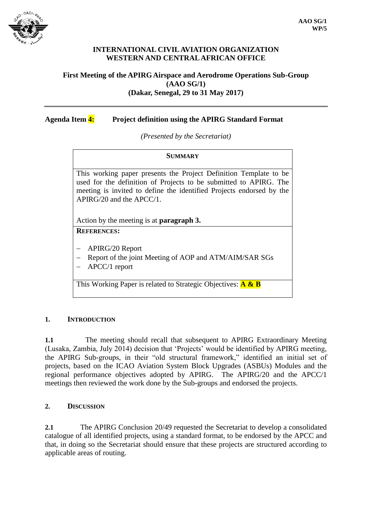

### **INTERNATIONAL CIVIL AVIATION ORGANIZATION WESTERN AND CENTRAL AFRICAN OFFICE**

### **First Meeting of the APIRG Airspace and Aerodrome Operations Sub-Group (AAO SG/1) (Dakar, Senegal, 29 to 31 May 2017)**

# **Agenda Item 4: Project definition using the APIRG Standard Format**

*(Presented by the Secretariat)*

#### **SUMMARY**

This working paper presents the Project Definition Template to be used for the definition of Projects to be submitted to APIRG. The meeting is invited to define the identified Projects endorsed by the APIRG/20 and the APCC/1.

Action by the meeting is at **paragraph 3.**

# **REFERENCES:**

- APIRG/20 Report
- Report of the joint Meeting of AOP and ATM/AIM/SAR SGs
- APCC/1 report

This Working Paper is related to Strategic Objectives: **A & B**

#### **1. INTRODUCTION**

**1.1** The meeting should recall that subsequent to APIRG Extraordinary Meeting (Lusaka, Zambia, July 2014) decision that 'Projects' would be identified by APIRG meeting, the APIRG Sub-groups, in their "old structural framework," identified an initial set of projects, based on the ICAO Aviation System Block Upgrades (ASBUs) Modules and the regional performance objectives adopted by APIRG. The APIRG/20 and the APCC/1 meetings then reviewed the work done by the Sub-groups and endorsed the projects.

#### **2. DISCUSSION**

**2.1** The APIRG Conclusion 20/49 requested the Secretariat to develop a consolidated catalogue of all identified projects, using a standard format, to be endorsed by the APCC and that, in doing so the Secretariat should ensure that these projects are structured according to applicable areas of routing.